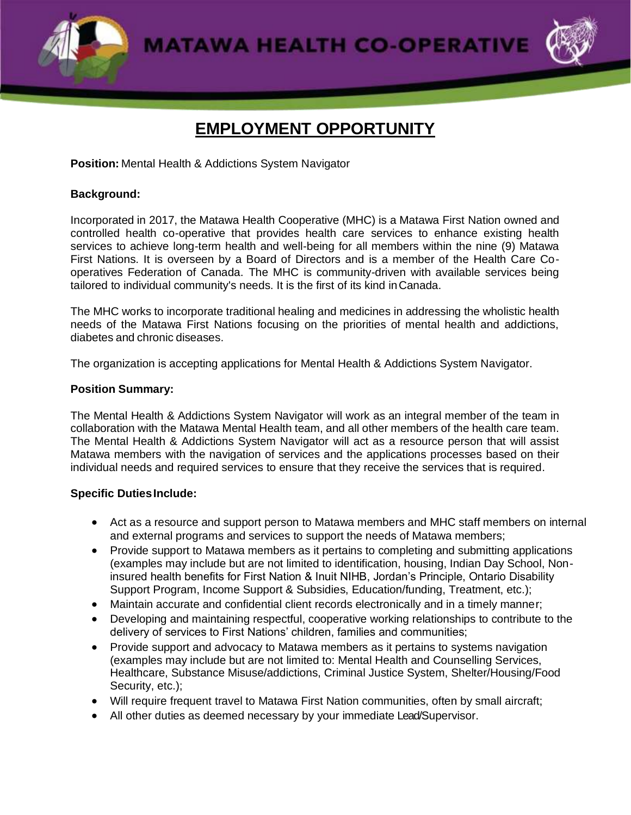**MATAWA HEALTH CO-OPERATIVE** 



# **EMPLOYMENT OPPORTUNITY**

**Position:** Mental Health & Addictions System Navigator

## **Background:**

Incorporated in 2017, the Matawa Health Cooperative (MHC) is a Matawa First Nation owned and controlled health co-operative that provides health care services to enhance existing health services to achieve long-term health and well-being for all members within the nine (9) Matawa First Nations. It is overseen by a Board of Directors and is a member of the Health Care Cooperatives Federation of Canada. The MHC is community-driven with available services being tailored to individual community's needs. It is the first of its kind inCanada.

The MHC works to incorporate traditional healing and medicines in addressing the wholistic health needs of the Matawa First Nations focusing on the priorities of mental health and addictions, diabetes and chronic diseases.

The organization is accepting applications for Mental Health & Addictions System Navigator.

#### **Position Summary:**

The Mental Health & Addictions System Navigator will work as an integral member of the team in collaboration with the Matawa Mental Health team, and all other members of the health care team. The Mental Health & Addictions System Navigator will act as a resource person that will assist Matawa members with the navigation of services and the applications processes based on their individual needs and required services to ensure that they receive the services that is required.

#### **Specific DutiesInclude:**

- Act as a resource and support person to Matawa members and MHC staff members on internal and external programs and services to support the needs of Matawa members;
- Provide support to Matawa members as it pertains to completing and submitting applications (examples may include but are not limited to identification, housing, Indian Day School, Noninsured health benefits for First Nation & Inuit NIHB, Jordan's Principle, Ontario Disability Support Program, Income Support & Subsidies, Education/funding, Treatment, etc.);
- Maintain accurate and confidential client records electronically and in a timely manner;
- Developing and maintaining respectful, cooperative working relationships to contribute to the delivery of services to First Nations' children, families and communities;
- Provide support and advocacy to Matawa members as it pertains to systems navigation (examples may include but are not limited to: Mental Health and Counselling Services, Healthcare, Substance Misuse/addictions, Criminal Justice System, Shelter/Housing/Food Security, etc.):
- Will require frequent travel to Matawa First Nation communities, often by small aircraft;
- All other duties as deemed necessary by your immediate Lead/Supervisor.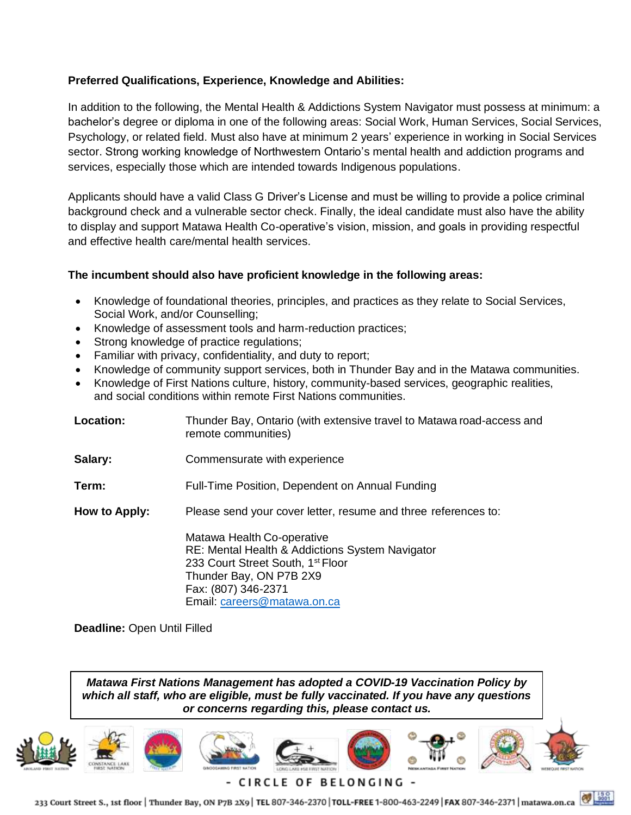## **Preferred Qualifications, Experience, Knowledge and Abilities:**

In addition to the following, the Mental Health & Addictions System Navigator must possess at minimum: a bachelor's degree or diploma in one of the following areas: Social Work, Human Services, Social Services, Psychology, or related field. Must also have at minimum 2 years' experience in working in Social Services sector. Strong working knowledge of Northwestern Ontario's mental health and addiction programs and services, especially those which are intended towards Indigenous populations.

Applicants should have a valid Class G Driver's License and must be willing to provide a police criminal background check and a vulnerable sector check. Finally, the ideal candidate must also have the ability to display and support Matawa Health Co-operative's vision, mission, and goals in providing respectful and effective health care/mental health services.

## **The incumbent should also have proficient knowledge in the following areas:**

- Knowledge of foundational theories, principles, and practices as they relate to Social Services, Social Work, and/or Counselling;
- Knowledge of assessment tools and harm-reduction practices;
- Strong knowledge of practice regulations;
- Familiar with privacy, confidentiality, and duty to report;
- Knowledge of community support services, both in Thunder Bay and in the Matawa communities.
- Knowledge of First Nations culture, history, community-based services, geographic realities, and social conditions within remote First Nations communities.

| Location:                          | Thunder Bay, Ontario (with extensive travel to Matawa road-access and<br>remote communities)                                                                                                                    |
|------------------------------------|-----------------------------------------------------------------------------------------------------------------------------------------------------------------------------------------------------------------|
| Salary:                            | Commensurate with experience                                                                                                                                                                                    |
| Term:                              | Full-Time Position, Dependent on Annual Funding                                                                                                                                                                 |
| How to Apply:                      | Please send your cover letter, resume and three references to:                                                                                                                                                  |
|                                    | Matawa Health Co-operative<br>RE: Mental Health & Addictions System Navigator<br>233 Court Street South, 1 <sup>st</sup> Floor<br>Thunder Bay, ON P7B 2X9<br>Fax: (807) 346-2371<br>Email: careers@matawa.on.ca |
| <b>Deadline: Open Until Filled</b> |                                                                                                                                                                                                                 |

*Matawa First Nations Management has adopted a COVID-19 Vaccination Policy by which all staff, who are eligible, must be fully vaccinated. If you have any questions or concerns regarding this, please contact us.*



233 Court Street S., 1st floor | Thunder Bay, ON P7B 2X9 | TEL 807-346-2370 | TOLL-FREE 1-800-463-2249 | FAX 807-346-2371 | matawa.on.ca